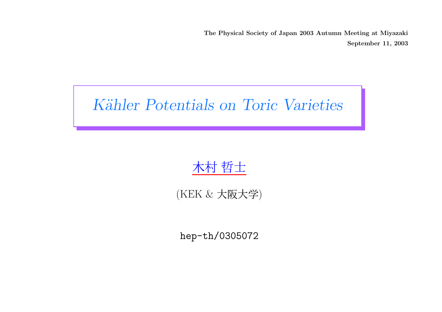The Physical Society of Japan 2003 Autumn Meeting at Miyazaki September 11, 2003

# Kähler Potentials on Toric Varieties

# 木村 哲士

### (KEK & 大阪大学)

hep-th/0305072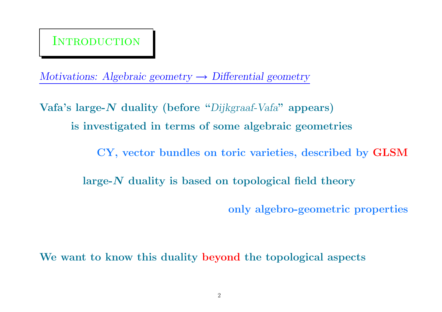## **INTRODUCTION**

Motivations: Algebraic geometry  $\rightarrow$  Differential geometry

 $\mathbf{V}$ afa's large- $\boldsymbol{N}$  duality (before " $Dijkgra$ af-Vafa" appears) is investigated in terms of some algebraic geometries

CY, vector bundles on toric varieties, described by GLSM

large-N duality is based on topological field theory

only algebro-geometric properties

We want to know this duality beyond the topological aspects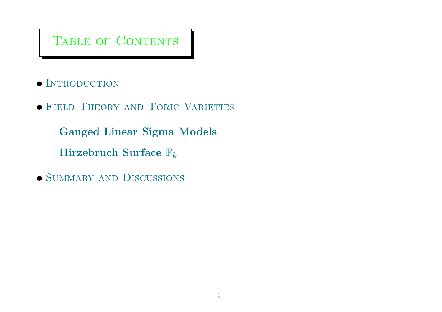## Table of Contents

- $\bullet$  INTRODUCTION
- Field Theory and Toric Varieties
	- Gauged Linear Sigma Models
	- Hirzebruch Surface  $\mathbb{F}_k$
- SUMMARY AND DISCUSSIONS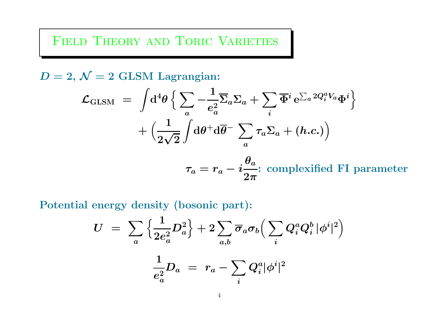Field Theory and Toric Varieties

 $D=2,\,\mathcal{N}=2\,\,{\rm GLSM}\,$  Lagrangian:

$$
\mathcal{L}_{\text{GLSM}} \;=\; \int\!\mathrm{d}^4\theta\, \Big\{\sum_a -\!\frac{1}{e_a^2}\overline{\Sigma}_a \Sigma_a + \sum_i \overline{\Phi}^i\, \mathrm{e}^{\sum_a 2Q_i^a V_a} \Phi^i\Big\} \nonumber\\ + \Big(\frac{1}{2\sqrt{2}}\int\!\mathrm{d}\theta^+\mathrm{d}\overline{\theta}^-\, \sum_a \tau_a \Sigma_a + (h.c.)\Big)
$$

 $\tau_a=r_a-i$  $\bm{\theta_a}$  $2\pi$ : complexified FI parameter

Potential energy density (bosonic part):

$$
U \ = \ \sum_a \Big\{ \frac{1}{2e_a^2} D_a^2 \Big\} + 2 \sum_{a,b} \overline{\sigma}_a \sigma_b \Big( \sum_i Q_i^a Q_i^b \, |\phi^i|^2 \Big) \nonumber \\ \frac{1}{e_a^2} D_a \ = \ r_a - \sum_i Q_i^a |\phi^i|^2
$$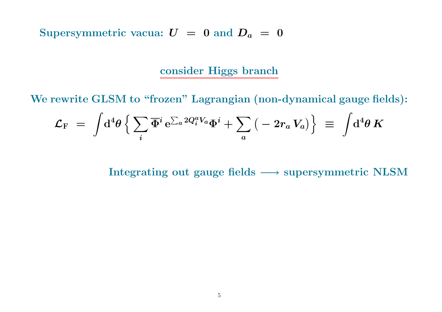Supersymmetric vacua:  $U = 0$  and  $D_a = 0$ 

#### consider Higgs branch

We rewrite GLSM to "frozen" Lagrangian (non-dynamical gauge fields):

$$
{\cal L}_{\rm F} ~=~ \int\!{\rm d}^4\theta\,\Big\{\sum_i{\overline\Phi}^i\,{\rm e}^{\sum_a 2Q^a_i V_a}{\Phi}^i + \sum_a\left(\,-\,2r_a\,V_a\right)\Big\} ~\equiv~ \int\!{\rm d}^4\theta~K
$$

Integrating out gauge fields  $\longrightarrow$  supersymmetric NLSM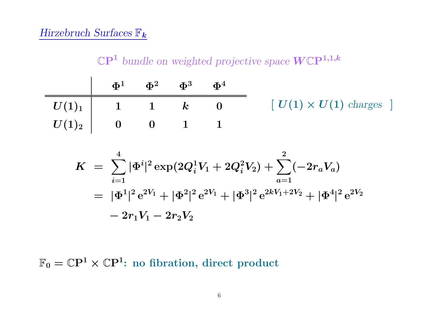#### Hirzebruch Surfaces  $\mathbb{F}_{\bm{k}}$

 $\mathbb{C}\mathrm{P}^1$  bundle on weighted projective space  $W\mathbb{C}\mathrm{P}^{1,1,k}$ 

|                                                                                                                                                              |  | $\Phi^1$ $\Phi^2$ $\Phi^3$ $\Phi^4$ |                                                   |
|--------------------------------------------------------------------------------------------------------------------------------------------------------------|--|-------------------------------------|---------------------------------------------------|
| $\mid U(1)_1 \mid \quad \quad 1 \qquad \quad 1 \qquad \quad k \qquad \quad 0$                                                                                |  |                                     | $\left[ U(1) \times U(1) \text{ charges} \right]$ |
| $\boldsymbol{U(1)_2} \hspace{1.5cm} \hspace{1.5cm} \boldsymbol{0} \hspace{1.5cm} \boldsymbol{0} \hspace{1.5cm} \boldsymbol{1} \hspace{1.5cm} \boldsymbol{1}$ |  |                                     |                                                   |

$$
\begin{array}{lcl} K&=&\displaystyle\sum_{i=1}^4|\Phi^i|^2\exp(2Q_i^1V_1+2Q_i^2V_2)+\sum_{a=1}^2(-2r_aV_a)\\ &=&|\Phi^1|^2\operatorname{e}^{2V_1}+|\Phi^2|^2\operatorname{e}^{2V_1}+|\Phi^3|^2\operatorname{e}^{2kV_1+2V_2}+|\Phi^4|^2\operatorname{e}^{2V_2}\\ &-&2r_1V_1-2r_2V_2 \end{array}
$$

 $\mathbb{F}_0 = \mathbb{C}\mathrm{P}^1 \times \mathbb{C}\mathrm{P}^1$ : no fibration, direct product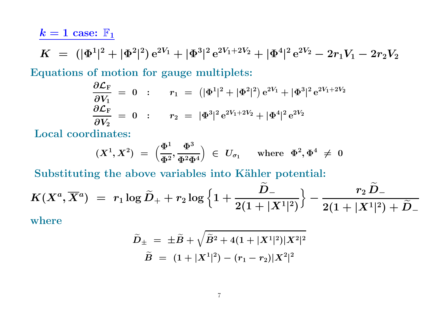### $k=1$  case:  $\mathbb{F}_1$

$$
K \,\, = \,\, (|\Phi^1|^2 + |\Phi^2|^2) \, \mathrm{e}^{2V_1} + |\Phi^3|^2 \, \mathrm{e}^{2V_1 + 2V_2} + |\Phi^4|^2 \, \mathrm{e}^{2V_2} - 2 r_1 V_1 - 2 r_2 V_2
$$

Equations of motion for gauge multiplets:

$$
\begin{array}{lcl} \displaystyle \frac{\partial \mathcal{L}_{\rm F}}{\partial V_1} \;=\; 0 & : & r_1 \;=\; \left(|\Phi^1|^2 + |\Phi^2|^2\right){\rm e}^{2V_1} + |\Phi^3|^2\,{\rm e}^{2V_1 + 2V_2} \\ \displaystyle \frac{\partial \mathcal{L}_{\rm F}}{\partial V_2} \;=\; 0 & : & r_2 \;=\; |\Phi^3|^2\,{\rm e}^{2V_1 + 2V_2} + |\Phi^4|^2\,{\rm e}^{2V_2} \end{array}
$$

Local coordinates:

$$
(X^1,X^2) \,\,=\,\, \big(\frac{\Phi^1}{\Phi^2},\frac{\Phi^3}{\Phi^2\Phi^4}\big) \,\,\in\,\, U_{\sigma_1} \quad \ \, \text{where} \ \ \Phi^2,\Phi^4 \,\neq\,\, 0
$$

Substituting the above variables into Kähler potential:

$$
K(X^a,\overline{X}{}^a) \;=\; r_1\log \widetilde{D}_+ + r_2\log\Big\{1+\frac{\widetilde{D}_-}{2(1+|X^1|^2)}\Big\} - \frac{r_2\,\widetilde{D}_-}{2(1+|X^1|^2)+\widetilde{D}_-}
$$

where

$$
\begin{array}{ccl} \widetilde{D}_{\pm}\!\! &=& \pm\widetilde{B} + \sqrt{\widetilde{B}^2 + 4(1+|X^1|^2)|X^2|^2}\\[0.5ex] \widetilde{B}\!\! &=& (1+|X^1|^2) - (r_1-r_2)|X^2|^2\end{array}
$$